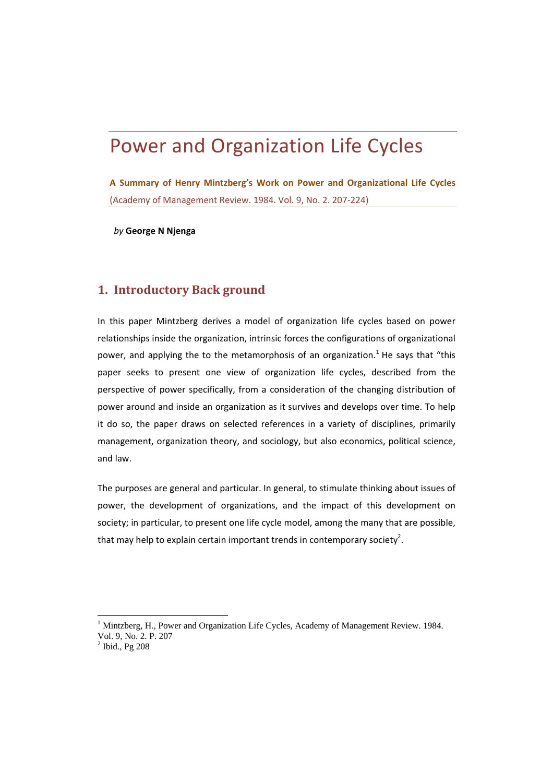# Power and Organization Life Cycles

**A Summary of Henry Mintzberg's Work on Power and Organizational Life Cycles** (Academy of Management Review. 1984. Vol. 9, No. 2. 207‐224)

*by* **George N Njenga**

# **1. Introductory Back ground**

In this paper Mintzberg derives a model of organization life cycles based on power relationships inside the organization, intrinsic forces the configurations of organizational power, and applying the to the metamorphosis of an organization.<sup>1</sup> He says that "this paper seeks to present one view of organization life cycles, described from the perspective of power specifically, from a consideration of the changing distribution of power around and inside an organization as it survives and develops over time. To help it do so, the paper draws on selected references in a variety of disciplines, primarily management, organization theory, and sociology, but also economics, political science, and law.

The purposes are general and particular. In general, to stimulate thinking about issues of power, the development of organizations, and the impact of this development on society; in particular, to present one life cycle model, among the many that are possible, that may help to explain certain important trends in contemporary society<sup>2</sup>.

<sup>1</sup> Mintzberg, H., Power and Organization Life Cycles, Academy of Management Review. 1984. Vol. 9, No. 2. P. 207

 $<sup>2</sup>$  Ibid., Pg 208</sup>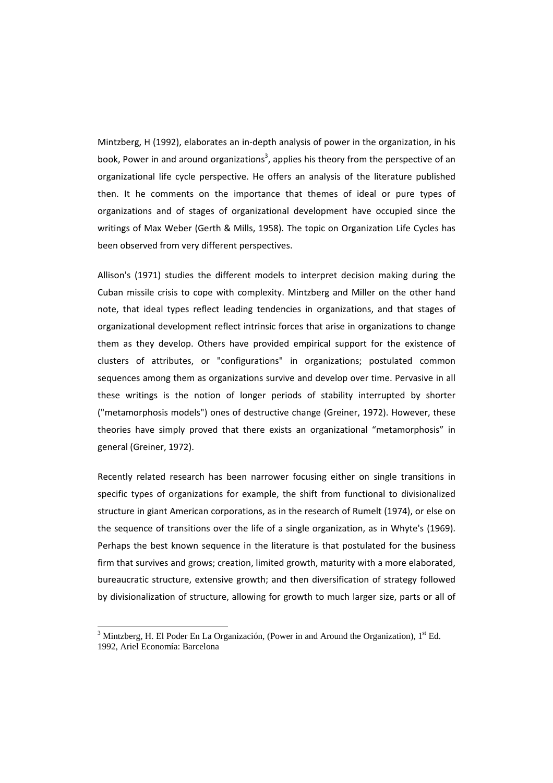Mintzberg, H (1992), elaborates an in-depth analysis of power in the organization, in his book, Power in and around organizations<sup>3</sup>, applies his theory from the perspective of an organizational life cycle perspective. He offers an analysis of the literature published then. It he comments on the importance that themes of ideal or pure types of organizations and of stages of organizational development have occupied since the writings of Max Weber (Gerth & Mills, 1958). The topic on Organization Life Cycles has been observed from very different perspectives.

Allison's (1971) studies the different models to interpret decision making during the Cuban missile crisis to cope with complexity. Mintzberg and Miller on the other hand note, that ideal types reflect leading tendencies in organizations, and that stages of organizational development reflect intrinsic forces that arise in organizations to change them as they develop. Others have provided empirical support for the existence of clusters of attributes, or "configurations" in organizations; postulated common sequences among them as organizations survive and develop over time. Pervasive in all these writings is the notion of longer periods of stability interrupted by shorter ("metamorphosis models") ones of destructive change (Greiner, 1972). However, these theories have simply proved that there exists an organizational "metamorphosis" in general (Greiner, 1972).

Recently related research has been narrower focusing either on single transitions in specific types of organizations for example, the shift from functional to divisionalized structure in giant American corporations, as in the research of Rumelt (1974), or else on the sequence of transitions over the life of a single organization, as in Whyte's (1969). Perhaps the best known sequence in the literature is that postulated for the business firm that survives and grows; creation, limited growth, maturity with a more elaborated, bureaucratic structure, extensive growth; and then diversification of strategy followed by divisionalization of structure, allowing for growth to much larger size, parts or all of

<sup>&</sup>lt;sup>3</sup> Mintzberg, H. El Poder En La Organización, (Power in and Around the Organization),  $1<sup>st</sup>$  Ed. 1992, Ariel Economía: Barcelona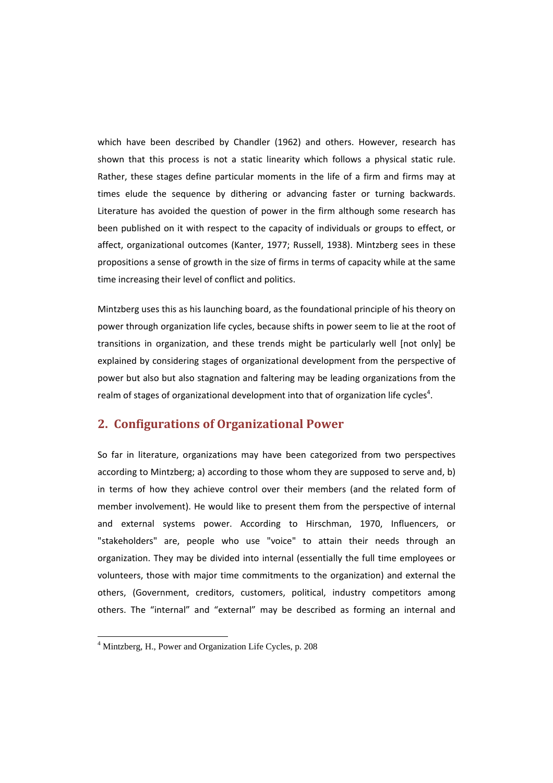which have been described by Chandler (1962) and others. However, research has shown that this process is not a static linearity which follows a physical static rule. Rather, these stages define particular moments in the life of a firm and firms may at times elude the sequence by dithering or advancing faster or turning backwards. Literature has avoided the question of power in the firm although some research has been published on it with respect to the capacity of individuals or groups to effect, or affect, organizational outcomes (Kanter, 1977; Russell, 1938). Mintzberg sees in these propositions a sense of growth in the size of firms in terms of capacity while at the same time increasing their level of conflict and politics.

Mintzberg uses this as his launching board, as the foundational principle of his theory on power through organization life cycles, because shifts in power seem to lie at the root of transitions in organization, and these trends might be particularly well [not only] be explained by considering stages of organizational development from the perspective of power but also but also stagnation and faltering may be leading organizations from the realm of stages of organizational development into that of organization life cycles<sup>4</sup>.

# **2. Configurations of Organizational Power**

So far in literature, organizations may have been categorized from two perspectives according to Mintzberg; a) according to those whom they are supposed to serve and, b) in terms of how they achieve control over their members (and the related form of member involvement). He would like to present them from the perspective of internal and external systems power. According to Hirschman, 1970, Influencers, or "stakeholders" are, people who use "voice" to attain their needs through an organization. They may be divided into internal (essentially the full time employees or volunteers, those with major time commitments to the organization) and external the others, (Government, creditors, customers, political, industry competitors among others. The "internal" and "external" may be described as forming an internal and

<sup>4</sup> Mintzberg, H., Power and Organization Life Cycles, p. 208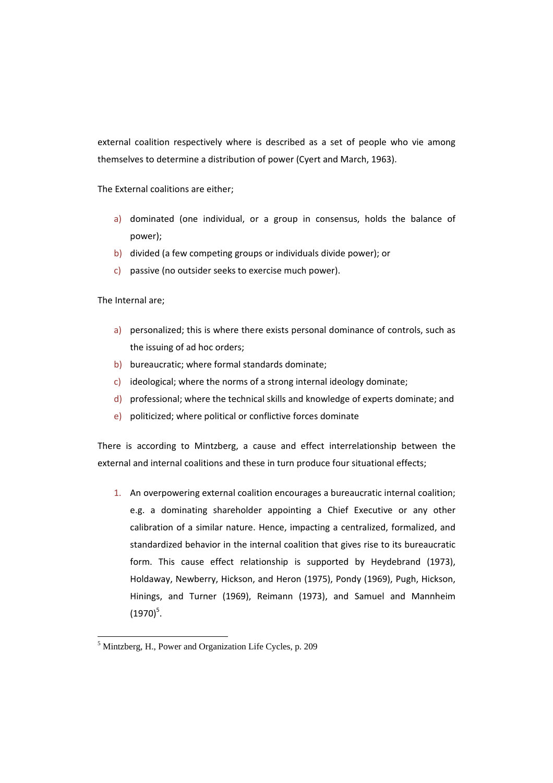external coalition respectively where is described as a set of people who vie among themselves to determine a distribution of power (Cyert and March, 1963).

The External coalitions are either;

- a) dominated (one individual, or a group in consensus, holds the balance of power);
- b) divided (a few competing groups or individuals divide power); or
- c) passive (no outsider seeks to exercise much power).

The Internal are;

- a) personalized; this is where there exists personal dominance of controls, such as the issuing of ad hoc orders;
- b) bureaucratic; where formal standards dominate;
- c) ideological; where the norms of a strong internal ideology dominate;
- d) professional; where the technical skills and knowledge of experts dominate; and
- e) politicized; where political or conflictive forces dominate

There is according to Mintzberg, a cause and effect interrelationship between the external and internal coalitions and these in turn produce four situational effects;

1. An overpowering external coalition encourages a bureaucratic internal coalition; e.g. a dominating shareholder appointing a Chief Executive or any other calibration of a similar nature. Hence, impacting a centralized, formalized, and standardized behavior in the internal coalition that gives rise to its bureaucratic form. This cause effect relationship is supported by Heydebrand (1973), Holdaway, Newberry, Hickson, and Heron (1975), Pondy (1969), Pugh, Hickson, Hinings, and Turner (1969), Reimann (1973), and Samuel and Mannheim  $(1970)^5$ .

<sup>&</sup>lt;sup>5</sup> Mintzberg, H., Power and Organization Life Cycles, p. 209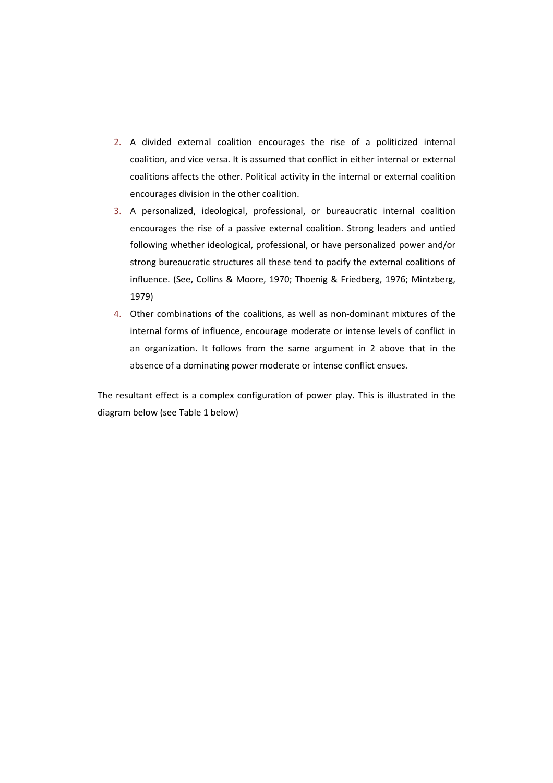- 2. A divided external coalition encourages the rise of a politicized internal coalition, and vice versa. It is assumed that conflict in either internal or external coalitions affects the other. Political activity in the internal or external coalition encourages division in the other coalition.
- 3. A personalized, ideological, professional, or bureaucratic internal coalition encourages the rise of a passive external coalition. Strong leaders and untied following whether ideological, professional, or have personalized power and/or strong bureaucratic structures all these tend to pacify the external coalitions of influence. (See, Collins & Moore, 1970; Thoenig & Friedberg, 1976; Mintzberg, 1979)
- 4. Other combinations of the coalitions, as well as non-dominant mixtures of the internal forms of influence, encourage moderate or intense levels of conflict in an organization. It follows from the same argument in 2 above that in the absence of a dominating power moderate or intense conflict ensues.

The resultant effect is a complex configuration of power play. This is illustrated in the diagram below (see Table 1 below)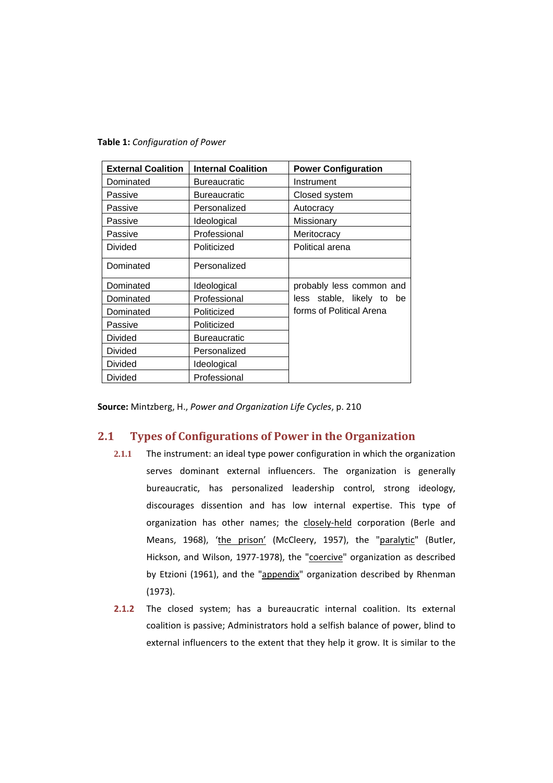**Table 1:** *Configuration of Power*

| <b>External Coalition</b> | <b>Internal Coalition</b> | <b>Power Configuration</b> |
|---------------------------|---------------------------|----------------------------|
| Dominated                 | Bureaucratic              | Instrument                 |
| Passive                   | Bureaucratic              | Closed system              |
| Passive                   | Personalized              | Autocracy                  |
| Passive                   | Ideological               | Missionary                 |
| Passive                   | Professional              | Meritocracy                |
| <b>Divided</b>            | Politicized               | Political arena            |
| Dominated                 | Personalized              |                            |
| Dominated                 | Ideological               | probably less common and   |
| Dominated                 | Professional              | less stable, likely to be  |
| Dominated                 | Politicized               | forms of Political Arena   |
| Passive                   | Politicized               |                            |
| Divided                   | <b>Bureaucratic</b>       |                            |
| <b>Divided</b>            | Personalized              |                            |
| Divided                   | Ideological               |                            |
| <b>Divided</b>            | Professional              |                            |

**Source:** Mintzberg, H., *Power and Organization Life Cycles*, p. 210

# **2.1 Types of Configurations of Power in the Organization**

- **2.1.1** The instrument: an ideal type power configuration in which the organization serves dominant external influencers. The organization is generally bureaucratic, has personalized leadership control, strong ideology, discourages dissention and has low internal expertise. This type of organization has other names; the closely-held corporation (Berle and Means, 1968), 'the prison' (McCleery, 1957), the "paralytic" (Butler, Hickson, and Wilson, 1977-1978), the "coercive" organization as described by Etzioni (1961), and the "appendix" organization described by Rhenman (1973).
- **2.1.2** The closed system; has a bureaucratic internal coalition. Its external coalition is passive; Administrators hold a selfish balance of power, blind to external influencers to the extent that they help it grow. It is similar to the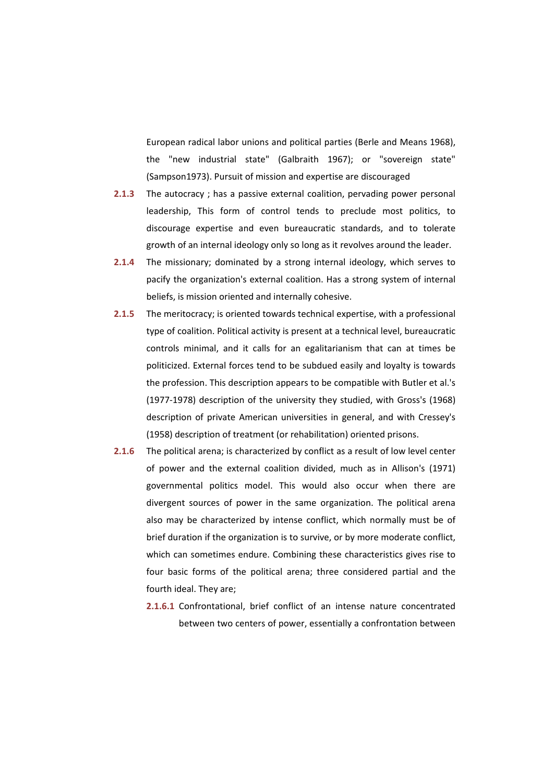European radical labor unions and political parties (Berle and Means 1968), the "new industrial state" (Galbraith 1967); or "sovereign state" (Sampson1973). Pursuit of mission and expertise are discouraged

- **2.1.3** The autocracy ; has a passive external coalition, pervading power personal leadership, This form of control tends to preclude most politics, to discourage expertise and even bureaucratic standards, and to tolerate growth of an internal ideology only so long as it revolves around the leader.
- **2.1.4** The missionary; dominated by a strong internal ideology, which serves to pacify the organization's external coalition. Has a strong system of internal beliefs, is mission oriented and internally cohesive.
- **2.1.5** The meritocracy; is oriented towards technical expertise, with a professional type of coalition. Political activity is present at a technical level, bureaucratic controls minimal, and it calls for an egalitarianism that can at times be politicized. External forces tend to be subdued easily and loyalty is towards the profession. This description appears to be compatible with Butler et al.'s (1977‐1978) description of the university they studied, with Gross's (1968) description of private American universities in general, and with Cressey's (1958) description of treatment (or rehabilitation) oriented prisons.
- **2.1.6** The political arena; is characterized by conflict as a result of low level center of power and the external coalition divided, much as in Allison's (1971) governmental politics model. This would also occur when there are divergent sources of power in the same organization. The political arena also may be characterized by intense conflict, which normally must be of brief duration if the organization is to survive, or by more moderate conflict, which can sometimes endure. Combining these characteristics gives rise to four basic forms of the political arena; three considered partial and the fourth ideal. They are;
	- **2.1.6.1** Confrontational, brief conflict of an intense nature concentrated between two centers of power, essentially a confrontation between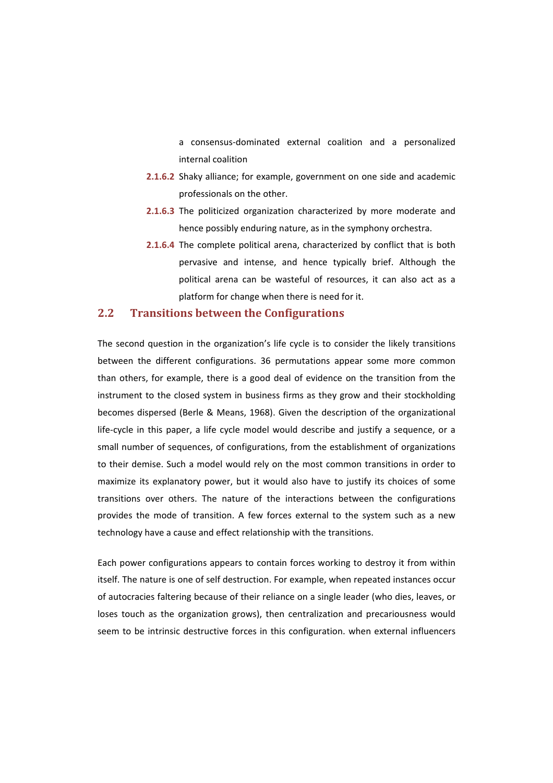a consensus‐dominated external coalition and a personalized internal coalition

- **2.1.6.2** Shaky alliance; for example, government on one side and academic professionals on the other.
- **2.1.6.3** The politicized organization characterized by more moderate and hence possibly enduring nature, as in the symphony orchestra.
- **2.1.6.4** The complete political arena, characterized by conflict that is both pervasive and intense, and hence typically brief. Although the political arena can be wasteful of resources, it can also act as a platform for change when there is need for it.

## **2.2 Transitions between the Configurations**

The second question in the organization's life cycle is to consider the likely transitions between the different configurations. 36 permutations appear some more common than others, for example, there is a good deal of evidence on the transition from the instrument to the closed system in business firms as they grow and their stockholding becomes dispersed (Berle & Means, 1968). Given the description of the organizational life-cycle in this paper, a life cycle model would describe and justify a sequence, or a small number of sequences, of configurations, from the establishment of organizations to their demise. Such a model would rely on the most common transitions in order to maximize its explanatory power, but it would also have to justify its choices of some transitions over others. The nature of the interactions between the configurations provides the mode of transition. A few forces external to the system such as a new technology have a cause and effect relationship with the transitions.

Each power configurations appears to contain forces working to destroy it from within itself. The nature is one of self destruction. For example, when repeated instances occur of autocracies faltering because of their reliance on a single leader (who dies, leaves, or loses touch as the organization grows), then centralization and precariousness would seem to be intrinsic destructive forces in this configuration. when external influencers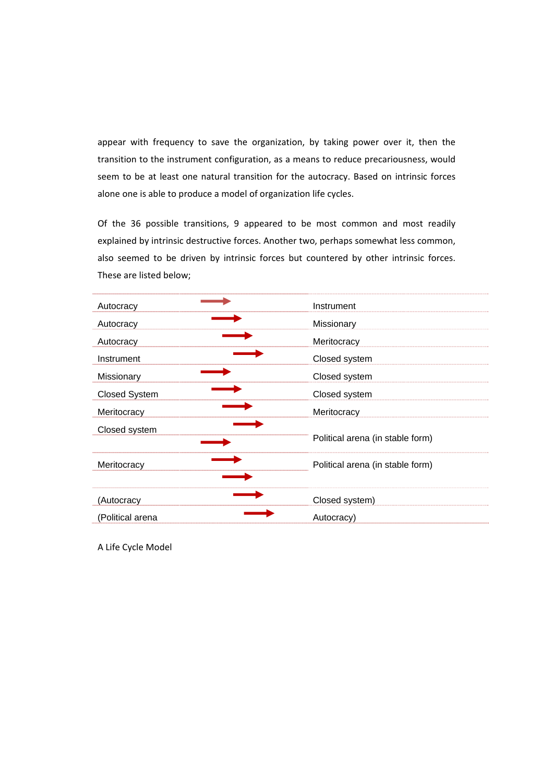appear with frequency to save the organization, by taking power over it, then the transition to the instrument configuration, as a means to reduce precariousness, would seem to be at least one natural transition for the autocracy. Based on intrinsic forces alone one is able to produce a model of organization life cycles.

Of the 36 possible transitions, 9 appeared to be most common and most readily explained by intrinsic destructive forces. Another two, perhaps somewhat less common, also seemed to be driven by intrinsic forces but countered by other intrinsic forces. These are listed below;

| Autocracy            | Instrument                       |
|----------------------|----------------------------------|
| Autocracy            | Missionary                       |
| Autocracy            | Meritocracy                      |
| Instrument           | Closed system                    |
| Missionary           | Closed system                    |
| <b>Closed System</b> | Closed system                    |
| Meritocracy          | Meritocracy                      |
| Closed system        | Political arena (in stable form) |
| Meritocracy          | Political arena (in stable form) |
| (Autocracy           | Closed system)                   |
| (Political arena     | Autocracy)                       |

A Life Cycle Model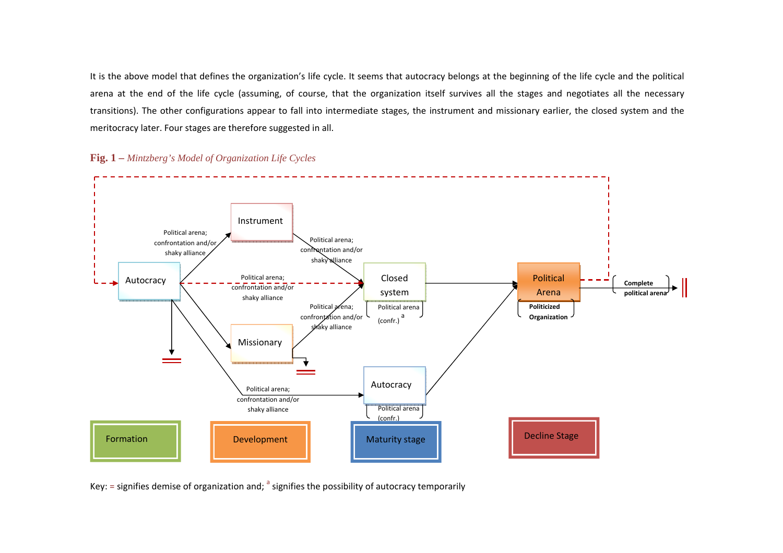It is the above model that defines the organization's life cycle. It seems that autocracy belongs at the beginning of the life cycle and the political arena at the end of the life cycle (assuming, of course, that the organization itself survives all the stages and negotiates all the necessary transitions). The other configurations appear to fall into intermediate stages, the instrument and missionary earlier, the closed system and the meritocracy later. Four stages are therefore suggested in all.



**Fig. 1 –** *Mintzberg's Model of Organization Life Cycles*

Key:  $=$  signifies demise of organization and;  $\alpha$  signifies the possibility of autocracy temporarily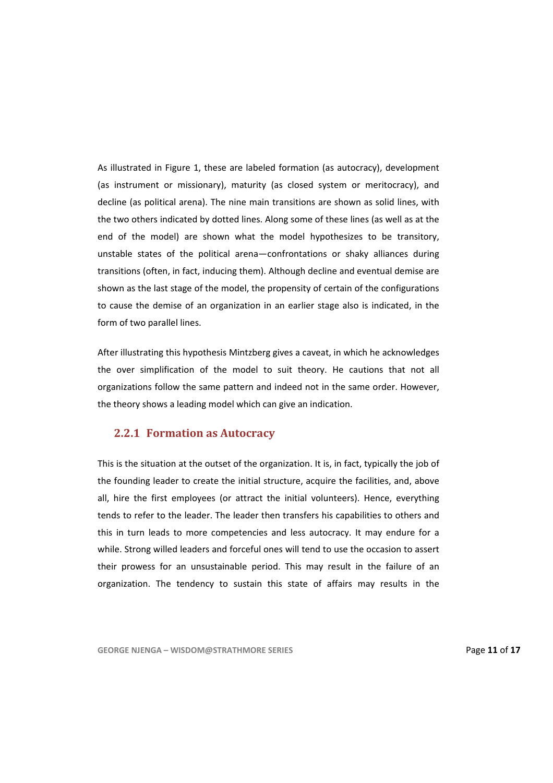As illustrated in Figure 1, these are labeled formation (as autocracy), development (as instrument or missionary), maturity (as closed system or meritocracy), and decline (as political arena). The nine main transitions are shown as solid lines, with the two others indicated by dotted lines. Along some of these lines (as well as at the end of the model) are shown what the model hypothesizes to be transitory, unstable states of the political arena—confrontations or shaky alliances during transitions (often, in fact, inducing them). Although decline and eventual demise are shown as the last stage of the model, the propensity of certain of the configurations to cause the demise of an organization in an earlier stage also is indicated, in the form of two parallel lines.

After illustrating this hypothesis Mintzberg gives a caveat, in which he acknowledges the over simplification of the model to suit theory. He cautions that not all organizations follow the same pattern and indeed not in the same order. However, the theory shows a leading model which can give an indication.

#### **2.2.1 Formation as Autocracy**

This is the situation at the outset of the organization. It is, in fact, typically the job of the founding leader to create the initial structure, acquire the facilities, and, above all, hire the first employees (or attract the initial volunteers). Hence, everything tends to refer to the leader. The leader then transfers his capabilities to others and this in turn leads to more competencies and less autocracy. It may endure for a while. Strong willed leaders and forceful ones will tend to use the occasion to assert their prowess for an unsustainable period. This may result in the failure of an organization. The tendency to sustain this state of affairs may results in the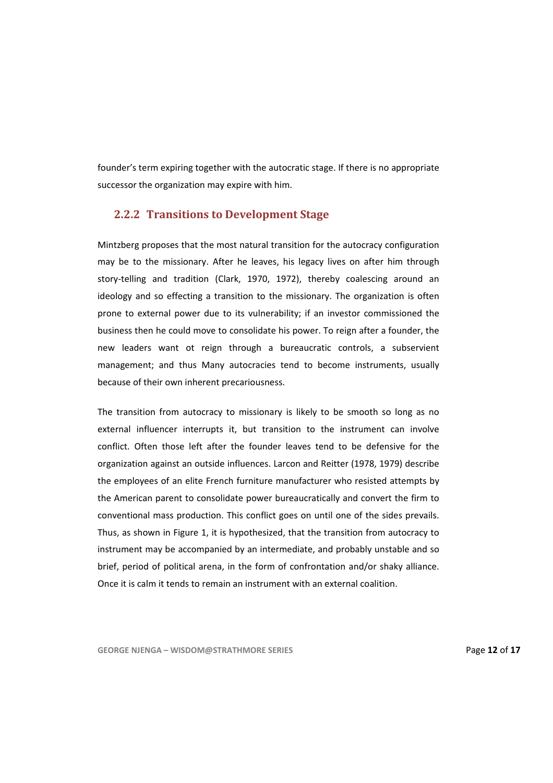founder's term expiring together with the autocratic stage. If there is no appropriate successor the organization may expire with him.

## **2.2.2 Transitions to Development Stage**

Mintzberg proposes that the most natural transition for the autocracy configuration may be to the missionary. After he leaves, his legacy lives on after him through story-telling and tradition (Clark, 1970, 1972), thereby coalescing around an ideology and so effecting a transition to the missionary. The organization is often prone to external power due to its vulnerability; if an investor commissioned the business then he could move to consolidate his power. To reign after a founder, the new leaders want ot reign through a bureaucratic controls, a subservient management; and thus Many autocracies tend to become instruments, usually because of their own inherent precariousness.

The transition from autocracy to missionary is likely to be smooth so long as no external influencer interrupts it, but transition to the instrument can involve conflict. Often those left after the founder leaves tend to be defensive for the organization against an outside influences. Larcon and Reitter (1978, 1979) describe the employees of an elite French furniture manufacturer who resisted attempts by the American parent to consolidate power bureaucratically and convert the firm to conventional mass production. This conflict goes on until one of the sides prevails. Thus, as shown in Figure 1, it is hypothesized, that the transition from autocracy to instrument may be accompanied by an intermediate, and probably unstable and so brief, period of political arena, in the form of confrontation and/or shaky alliance. Once it is calm it tends to remain an instrument with an external coalition.

**GEORGE NJENGA – WISDOM@STRATHMORE SERIES** Page **12** of **17**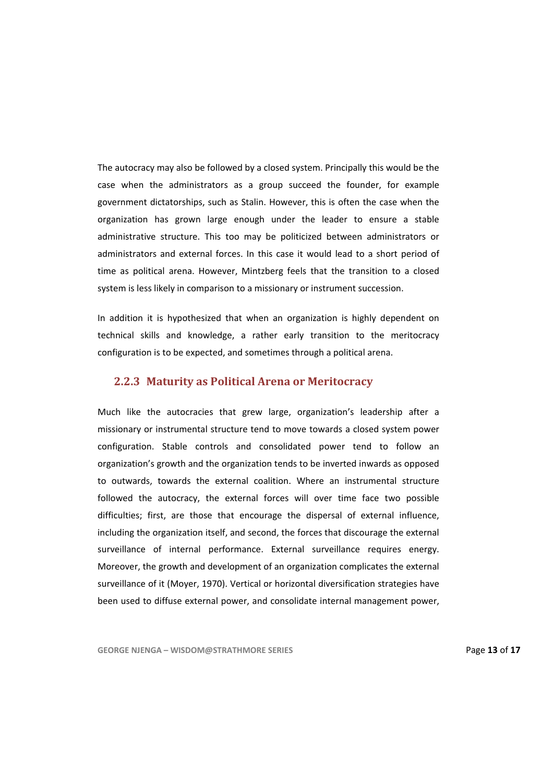The autocracy may also be followed by a closed system. Principally this would be the case when the administrators as a group succeed the founder, for example government dictatorships, such as Stalin. However, this is often the case when the organization has grown large enough under the leader to ensure a stable administrative structure. This too may be politicized between administrators or administrators and external forces. In this case it would lead to a short period of time as political arena. However, Mintzberg feels that the transition to a closed system is less likely in comparison to a missionary or instrument succession.

In addition it is hypothesized that when an organization is highly dependent on technical skills and knowledge, a rather early transition to the meritocracy configuration is to be expected, and sometimes through a political arena.

#### **2.2.3 Maturity as Political Arena or Meritocracy**

Much like the autocracies that grew large, organization's leadership after a missionary or instrumental structure tend to move towards a closed system power configuration. Stable controls and consolidated power tend to follow an organization's growth and the organization tends to be inverted inwards as opposed to outwards, towards the external coalition. Where an instrumental structure followed the autocracy, the external forces will over time face two possible difficulties; first, are those that encourage the dispersal of external influence, including the organization itself, and second, the forces that discourage the external surveillance of internal performance. External surveillance requires energy. Moreover, the growth and development of an organization complicates the external surveillance of it (Moyer, 1970). Vertical or horizontal diversification strategies have been used to diffuse external power, and consolidate internal management power,

**GEORGE NJENGA – WISDOM@STRATHMORE SERIES** Page **13** of **17**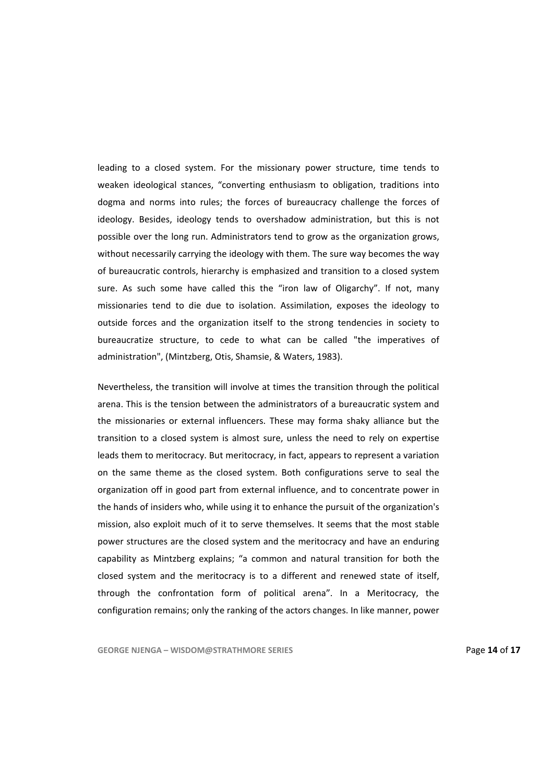leading to a closed system. For the missionary power structure, time tends to weaken ideological stances, "converting enthusiasm to obligation, traditions into dogma and norms into rules; the forces of bureaucracy challenge the forces of ideology. Besides, ideology tends to overshadow administration, but this is not possible over the long run. Administrators tend to grow as the organization grows, without necessarily carrying the ideology with them. The sure way becomes the way of bureaucratic controls, hierarchy is emphasized and transition to a closed system sure. As such some have called this the "iron law of Oligarchy". If not, many missionaries tend to die due to isolation. Assimilation, exposes the ideology to outside forces and the organization itself to the strong tendencies in society to bureaucratize structure, to cede to what can be called "the imperatives of administration", (Mintzberg, Otis, Shamsie, & Waters, 1983).

Nevertheless, the transition will involve at times the transition through the political arena. This is the tension between the administrators of a bureaucratic system and the missionaries or external influencers. These may forma shaky alliance but the transition to a closed system is almost sure, unless the need to rely on expertise leads them to meritocracy. But meritocracy, in fact, appears to represent a variation on the same theme as the closed system. Both configurations serve to seal the organization off in good part from external influence, and to concentrate power in the hands of insiders who, while using it to enhance the pursuit of the organization's mission, also exploit much of it to serve themselves. It seems that the most stable power structures are the closed system and the meritocracy and have an enduring capability as Mintzberg explains; "a common and natural transition for both the closed system and the meritocracy is to a different and renewed state of itself, through the confrontation form of political arena". In a Meritocracy, the configuration remains; only the ranking of the actors changes. In like manner, power

**GEORGE NJENGA – WISDOM@STRATHMORE SERIES** Page **14** of **17**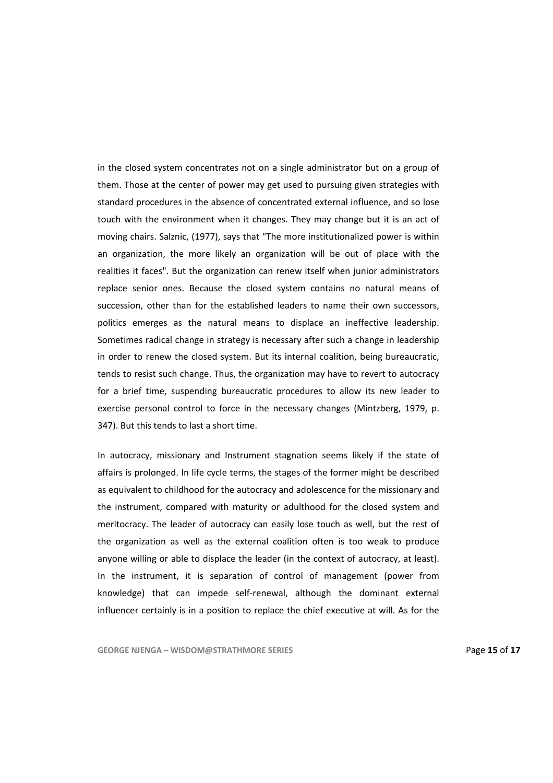in the closed system concentrates not on a single administrator but on a group of them. Those at the center of power may get used to pursuing given strategies with standard procedures in the absence of concentrated external influence, and so lose touch with the environment when it changes. They may change but it is an act of moving chairs. Salznic, (1977), says that "The more institutionalized power is within an organization, the more likely an organization will be out of place with the realities it faces". But the organization can renew itself when junior administrators replace senior ones. Because the closed system contains no natural means of succession, other than for the established leaders to name their own successors, politics emerges as the natural means to displace an ineffective leadership. Sometimes radical change in strategy is necessary after such a change in leadership in order to renew the closed system. But its internal coalition, being bureaucratic, tends to resist such change. Thus, the organization may have to revert to autocracy for a brief time, suspending bureaucratic procedures to allow its new leader to exercise personal control to force in the necessary changes (Mintzberg, 1979, p. 347). But this tends to last a short time.

In autocracy, missionary and Instrument stagnation seems likely if the state of affairs is prolonged. In life cycle terms, the stages of the former might be described as equivalent to childhood for the autocracy and adolescence for the missionary and the instrument, compared with maturity or adulthood for the closed system and meritocracy. The leader of autocracy can easily lose touch as well, but the rest of the organization as well as the external coalition often is too weak to produce anyone willing or able to displace the leader (in the context of autocracy, at least). In the instrument, it is separation of control of management (power from knowledge) that can impede self‐renewal, although the dominant external influencer certainly is in a position to replace the chief executive at will. As for the

**GEORGE NJENGA – WISDOM@STRATHMORE SERIES** Page **15** of **17**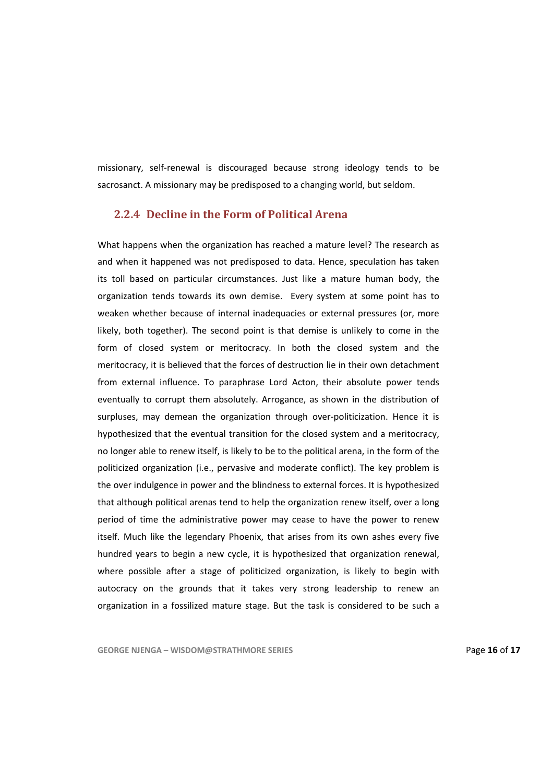missionary, self‐renewal is discouraged because strong ideology tends to be sacrosanct. A missionary may be predisposed to a changing world, but seldom.

#### **2.2.4 Decline in the Form of Political Arena**

What happens when the organization has reached a mature level? The research as and when it happened was not predisposed to data. Hence, speculation has taken its toll based on particular circumstances. Just like a mature human body, the organization tends towards its own demise. Every system at some point has to weaken whether because of internal inadequacies or external pressures (or, more likely, both together). The second point is that demise is unlikely to come in the form of closed system or meritocracy. In both the closed system and the meritocracy, it is believed that the forces of destruction lie in their own detachment from external influence. To paraphrase Lord Acton, their absolute power tends eventually to corrupt them absolutely. Arrogance, as shown in the distribution of surpluses, may demean the organization through over-politicization. Hence it is hypothesized that the eventual transition for the closed system and a meritocracy, no longer able to renew itself, is likely to be to the political arena, in the form of the politicized organization (i.e., pervasive and moderate conflict). The key problem is the over indulgence in power and the blindness to external forces. It is hypothesized that although political arenas tend to help the organization renew itself, over a long period of time the administrative power may cease to have the power to renew itself. Much like the legendary Phoenix, that arises from its own ashes every five hundred years to begin a new cycle, it is hypothesized that organization renewal, where possible after a stage of politicized organization, is likely to begin with autocracy on the grounds that it takes very strong leadership to renew an organization in a fossilized mature stage. But the task is considered to be such a

**GEORGE NJENGA – WISDOM@STRATHMORE SERIES** Page **16** of **17**